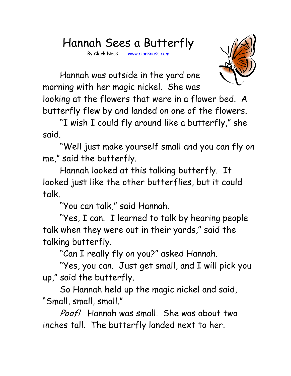Hannah Sees a Butterfly

By Clark Ness www.clarkness.com



 Hannah was outside in the yard one morning with her magic nickel. She was

looking at the flowers that were in a flower bed. A butterfly flew by and landed on one of the flowers.

 "I wish I could fly around like a butterfly," she said.

 "Well just make yourself small and you can fly on me," said the butterfly.

 Hannah looked at this talking butterfly. It looked just like the other butterflies, but it could talk.

"You can talk," said Hannah.

 "Yes, I can. I learned to talk by hearing people talk when they were out in their yards," said the talking butterfly.

"Can I really fly on you?" asked Hannah.

 "Yes, you can. Just get small, and I will pick you up," said the butterfly.

 So Hannah held up the magic nickel and said, "Small, small, small."

Poof! Hannah was small. She was about two inches tall. The butterfly landed next to her.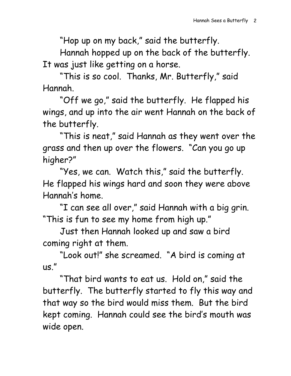"Hop up on my back," said the butterfly.

 Hannah hopped up on the back of the butterfly. It was just like getting on a horse.

 "This is so cool. Thanks, Mr. Butterfly," said Hannah.

 "Off we go," said the butterfly. He flapped his wings, and up into the air went Hannah on the back of the butterfly.

 "This is neat," said Hannah as they went over the grass and then up over the flowers. "Can you go up higher?"

 "Yes, we can. Watch this," said the butterfly. He flapped his wings hard and soon they were above Hannah's home.

 "I can see all over," said Hannah with a big grin. "This is fun to see my home from high up."

 Just then Hannah looked up and saw a bird coming right at them.

"Look out!" she screamed. "A bird is coming at us."

"That bird wants to eat us. Hold on," said the butterfly. The butterfly started to fly this way and that way so the bird would miss them. But the bird kept coming. Hannah could see the bird's mouth was wide open.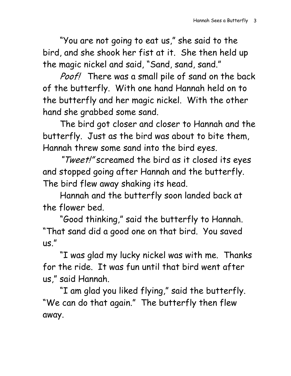"You are not going to eat us," she said to the bird, and she shook her fist at it. She then held up the magic nickel and said, "Sand, sand, sand."

Poof! There was a small pile of sand on the back of the butterfly. With one hand Hannah held on to the butterfly and her magic nickel. With the other hand she grabbed some sand.

 The bird got closer and closer to Hannah and the butterfly. Just as the bird was about to bite them, Hannah threw some sand into the bird eyes.

"Tweet!" screamed the bird as it closed its eyes and stopped going after Hannah and the butterfly. The bird flew away shaking its head.

 Hannah and the butterfly soon landed back at the flower bed.

 "Good thinking," said the butterfly to Hannah. "That sand did a good one on that bird. You saved us."

 "I was glad my lucky nickel was with me. Thanks for the ride. It was fun until that bird went after us," said Hannah.

 "I am glad you liked flying," said the butterfly. "We can do that again." The butterfly then flew away.